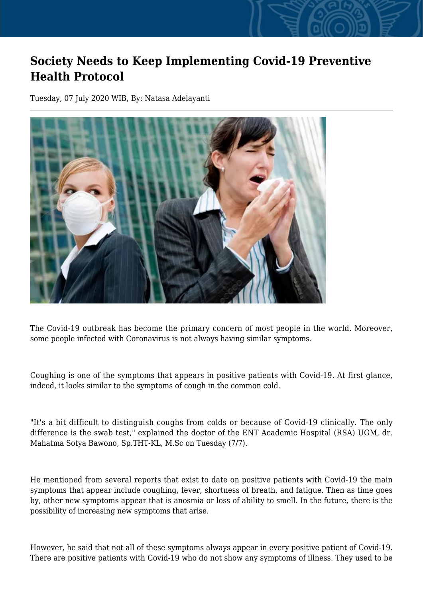## **Society Needs to Keep Implementing Covid-19 Preventive Health Protocol**

Tuesday, 07 July 2020 WIB, By: Natasa Adelayanti



The Covid-19 outbreak has become the primary concern of most people in the world. Moreover, some people infected with Coronavirus is not always having similar symptoms.

Coughing is one of the symptoms that appears in positive patients with Covid-19. At first glance, indeed, it looks similar to the symptoms of cough in the common cold.

"It's a bit difficult to distinguish coughs from colds or because of Covid-19 clinically. The only difference is the swab test," explained the doctor of the ENT Academic Hospital (RSA) UGM, dr. Mahatma Sotya Bawono, Sp.THT-KL, M.Sc on Tuesday (7/7).

He mentioned from several reports that exist to date on positive patients with Covid-19 the main symptoms that appear include coughing, fever, shortness of breath, and fatigue. Then as time goes by, other new symptoms appear that is anosmia or loss of ability to smell. In the future, there is the possibility of increasing new symptoms that arise.

However, he said that not all of these symptoms always appear in every positive patient of Covid-19. There are positive patients with Covid-19 who do not show any symptoms of illness. They used to be